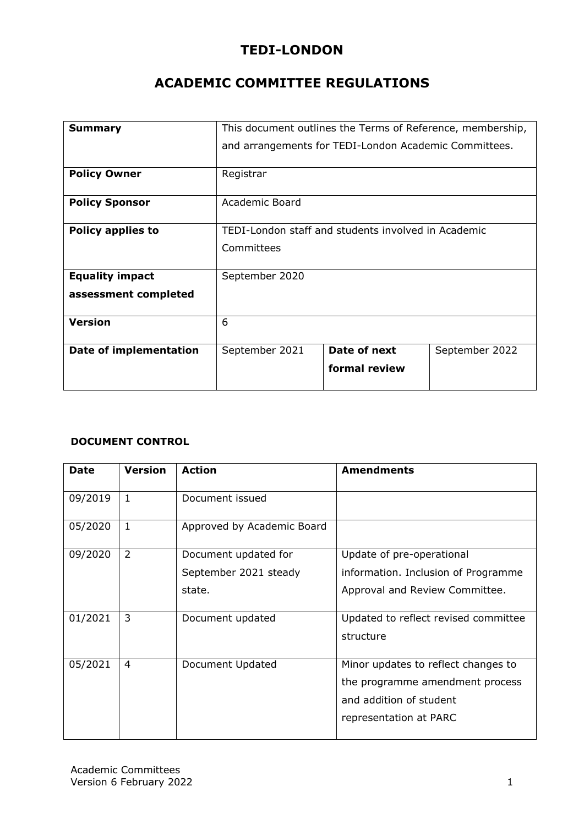# **TEDI-LONDON**

# **ACADEMIC COMMITTEE REGULATIONS**

| <b>Summary</b>                | This document outlines the Terms of Reference, membership, |                                                       |                |
|-------------------------------|------------------------------------------------------------|-------------------------------------------------------|----------------|
|                               |                                                            | and arrangements for TEDI-London Academic Committees. |                |
| <b>Policy Owner</b>           | Registrar                                                  |                                                       |                |
| <b>Policy Sponsor</b>         | <b>Academic Board</b>                                      |                                                       |                |
| <b>Policy applies to</b>      |                                                            | TEDI-London staff and students involved in Academic   |                |
|                               | Committees                                                 |                                                       |                |
| <b>Equality impact</b>        | September 2020                                             |                                                       |                |
| assessment completed          |                                                            |                                                       |                |
| <b>Version</b>                | 6                                                          |                                                       |                |
| <b>Date of implementation</b> | September 2021                                             | Date of next                                          | September 2022 |
|                               |                                                            | formal review                                         |                |

## **DOCUMENT CONTROL**

| <b>Date</b> | <b>Version</b> | <b>Action</b>              | <b>Amendments</b>                    |
|-------------|----------------|----------------------------|--------------------------------------|
| 09/2019     | $\mathbf{1}$   | Document issued            |                                      |
| 05/2020     | 1              | Approved by Academic Board |                                      |
| 09/2020     | 2              | Document updated for       | Update of pre-operational            |
|             |                | September 2021 steady      | information. Inclusion of Programme  |
|             |                | state.                     | Approval and Review Committee.       |
| 01/2021     | 3              | Document updated           | Updated to reflect revised committee |
|             |                |                            | structure                            |
| 05/2021     | 4              | Document Updated           | Minor updates to reflect changes to  |
|             |                |                            | the programme amendment process      |
|             |                |                            | and addition of student              |
|             |                |                            | representation at PARC               |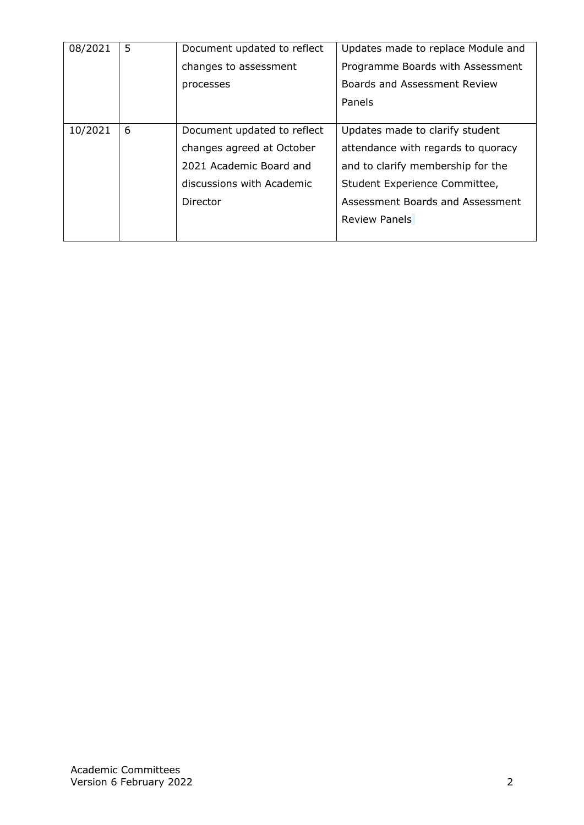| 08/2021 | 5 | Document updated to reflect | Updates made to replace Module and |
|---------|---|-----------------------------|------------------------------------|
|         |   | changes to assessment       | Programme Boards with Assessment   |
|         |   | processes                   | Boards and Assessment Review       |
|         |   |                             | Panels                             |
|         |   |                             |                                    |
| 10/2021 | 6 | Document updated to reflect | Updates made to clarify student    |
|         |   | changes agreed at October   | attendance with regards to quoracy |
|         |   | 2021 Academic Board and     | and to clarify membership for the  |
|         |   | discussions with Academic   | Student Experience Committee,      |
|         |   | Director                    | Assessment Boards and Assessment   |
|         |   |                             | <b>Review Panels</b>               |
|         |   |                             |                                    |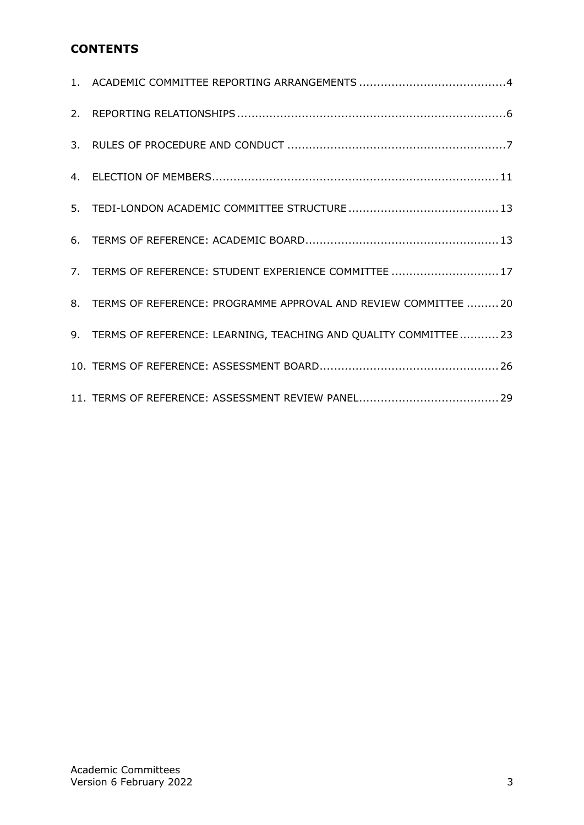# **CONTENTS**

| 7. TERMS OF REFERENCE: STUDENT EXPERIENCE COMMITTEE  17            |
|--------------------------------------------------------------------|
| 8. TERMS OF REFERENCE: PROGRAMME APPROVAL AND REVIEW COMMITTEE  20 |
| 9. TERMS OF REFERENCE: LEARNING, TEACHING AND QUALITY COMMITTEE23  |
|                                                                    |
|                                                                    |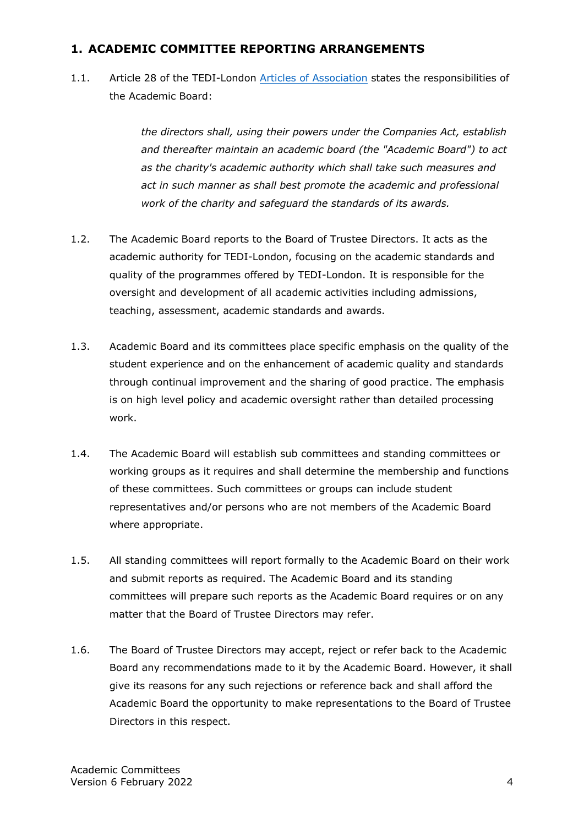# <span id="page-3-0"></span>**1. ACADEMIC COMMITTEE REPORTING ARRANGEMENTS**

1.1. Article 28 of the TEDI-London [Articles of Association](https://s3.eu-west-2.amazonaws.com/document-api-images-live.ch.gov.uk/docs/iNKDqXiK3pq0cJcFcFxs-nbc0ZB3QBEsOgZKO-5Tk6o/application-pdf?X-Amz-Algorithm=AWS4-HMAC-SHA256&X-Amz-Credential=ASIAWRGBDBV3IXZIJ5NL%2F20210219%2Feu-west-2%2Fs3%2Faws4_request&X-Amz-Date=20210219T172233Z&X-Amz-Expires=60&X-Amz-Security-Token=IQoJb3JpZ2luX2VjEIX%2F%2F%2F%2F%2F%2F%2F%2F%2F%2FwEaCWV1LXdlc3QtMiJGMEQCID1iD6VaBZlln3t5OnwYm46ItnlMOXLOZ%2FBcBII06aW1AiB2xg63RtyrGeNA6ykQUri4Ke8lfK1S3BWiWHpWWD9FPCq9AwiN%2F%2F%2F%2F%2F%2F%2F%2F%2F%2F8BEAMaDDQ0OTIyOTAzMjgyMiIMsERTDTjwvqNfOIvYKpEDlRcv9rhlVkUyDKDPfEkTtsYWYuU6RgYk272Y4nY8hbVr1y4nBrTpj6YdWdb6xBRMArbGkCqSErInrqErKVdbWYgeBeFYPcs5ONhAMfYp%2FoL6PXe9vB01OcxoFigYwHa9k5w1LiF12J%2FsoBjkWQxnoGHHMy2eP8RF%2FS792jJstkvdR88LIQDRjdtd9NJYuSqEGc%2BOpEZvOrX%2BOm6aSnX5NKSBIwbbyn%2BFwNitUTwaZVFgsb%2B4EO6V%2FvOo2FpYv1s%2F%2BuG2DNPSPpslUkDT9REaVzeRQvW2aEYIydoQ%2FZFa3wbNwfyc9Bt3Xa7x2ziekRsiXy6FTh1GPALTy%2B1tcICCmEgj5G%2FA3B9QTtJJIRQUYCphAeMqRCvvFV3jW%2FHKVI17uwZ1bWpu8%2BZLLzuQGBL7okYXJGojkz34TTCIXTdgO8mBs%2FLOJRrZZccev5KxNMPOo7hbMuf%2BDllakkpNxc%2Fw7O5bbAzXU60cDH1uX%2BiUK1shRTH8wDLhB5PlFiKOK4%2Fgz7RpXp85Lggpm8fHr%2Bqi5X4wrNm%2BgQY67AHTWK%2BEo889KFD4uTQow7SEr0u09M%2BsW%2B6SJUBr92cylBMs0x9fBBiz8LWAqrNPMSLJol4WWrynzakFPZa%2FwpC6y5dRcgGGoSj8jD9Q5430Ua3%2Bv22U%2Fl1B3F%2FvGXrzBCYRkys6fflGst%2FRjUnqzClR213TAcOgb6i2vWwzw7%2BuG7BFlHt1GKO8mGbGrzTmEO5zT2521nDQA29gDrfGQg8shfASGBK5s759ABs96G%2BgNVo8ZHKWnUdufLuNV%2FdzbfN%2B%2B1C0e7MTQb%2F7FieQ0xS6TSK%2FdX2SOHUWcnQyOKNhBar7bXxnWjAOpk%2BjNw%3D%3D&X-Amz-SignedHeaders=host&X-Amz-Signature=361d9d64a78d4311e977a28d98085418eb67b37b09b3385a2faf1ae1b05bcf26) states the responsibilities of the Academic Board:

> *the directors shall, using their powers under the Companies Act, establish and thereafter maintain an academic board (the "Academic Board") to act as the charity's academic authority which shall take such measures and act in such manner as shall best promote the academic and professional work of the charity and safeguard the standards of its awards.*

- 1.2. The Academic Board reports to the Board of Trustee Directors. It acts as the academic authority for TEDI-London, focusing on the academic standards and quality of the programmes offered by TEDI-London. It is responsible for the oversight and development of all academic activities including admissions, teaching, assessment, academic standards and awards.
- 1.3. Academic Board and its committees place specific emphasis on the quality of the student experience and on the enhancement of academic quality and standards through continual improvement and the sharing of good practice. The emphasis is on high level policy and academic oversight rather than detailed processing work.
- 1.4. The Academic Board will establish sub committees and standing committees or working groups as it requires and shall determine the membership and functions of these committees. Such committees or groups can include student representatives and/or persons who are not members of the Academic Board where appropriate.
- 1.5. All standing committees will report formally to the Academic Board on their work and submit reports as required. The Academic Board and its standing committees will prepare such reports as the Academic Board requires or on any matter that the Board of Trustee Directors may refer.
- 1.6. The Board of Trustee Directors may accept, reject or refer back to the Academic Board any recommendations made to it by the Academic Board. However, it shall give its reasons for any such rejections or reference back and shall afford the Academic Board the opportunity to make representations to the Board of Trustee Directors in this respect.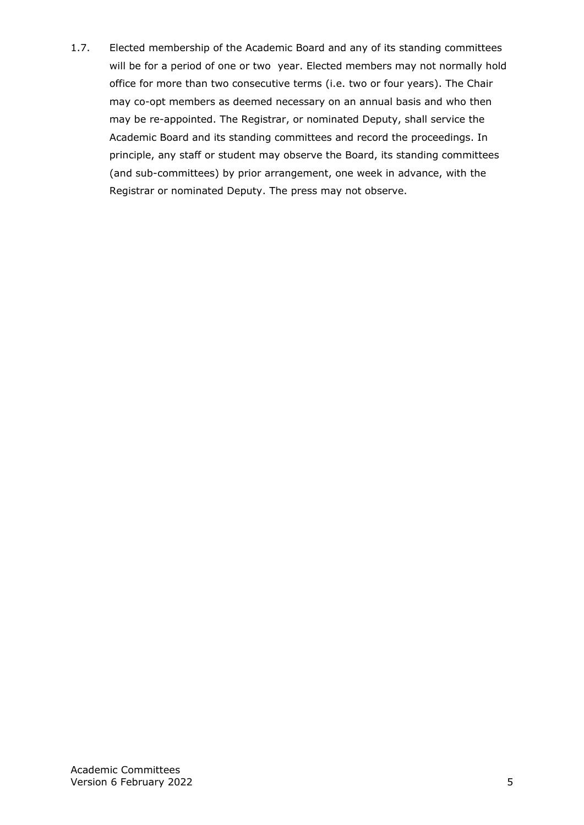1.7. Elected membership of the Academic Board and any of its standing committees will be for a period of one or two year. Elected members may not normally hold office for more than two consecutive terms (i.e. two or four years). The Chair may co-opt members as deemed necessary on an annual basis and who then may be re-appointed. The Registrar, or nominated Deputy, shall service the Academic Board and its standing committees and record the proceedings. In principle, any staff or student may observe the Board, its standing committees (and sub-committees) by prior arrangement, one week in advance, with the Registrar or nominated Deputy. The press may not observe.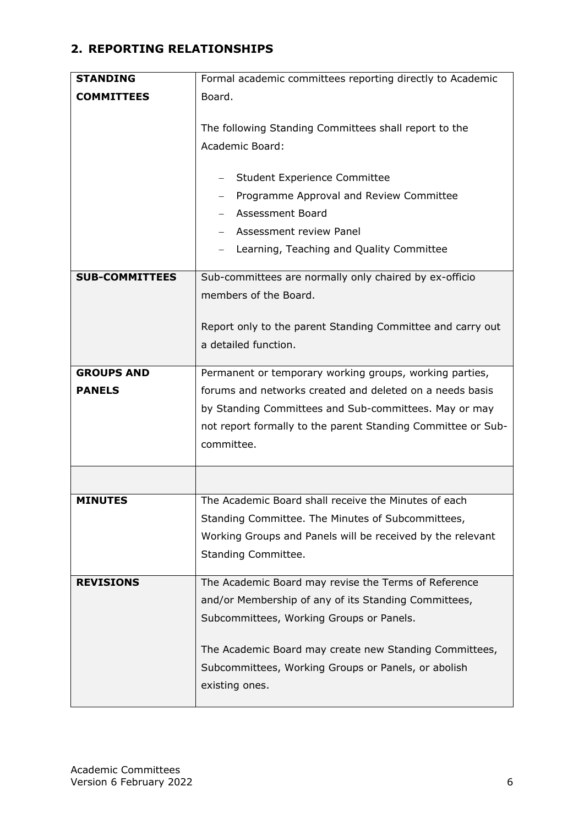# <span id="page-5-0"></span>**2. REPORTING RELATIONSHIPS**

| <b>STANDING</b>       | Formal academic committees reporting directly to Academic                                                             |
|-----------------------|-----------------------------------------------------------------------------------------------------------------------|
| <b>COMMITTEES</b>     | Board.                                                                                                                |
|                       |                                                                                                                       |
|                       | The following Standing Committees shall report to the                                                                 |
|                       | Academic Board:                                                                                                       |
|                       |                                                                                                                       |
|                       | <b>Student Experience Committee</b>                                                                                   |
|                       | Programme Approval and Review Committee                                                                               |
|                       | <b>Assessment Board</b>                                                                                               |
|                       | Assessment review Panel                                                                                               |
|                       | Learning, Teaching and Quality Committee                                                                              |
| <b>SUB-COMMITTEES</b> | Sub-committees are normally only chaired by ex-officio                                                                |
|                       | members of the Board.                                                                                                 |
|                       |                                                                                                                       |
|                       | Report only to the parent Standing Committee and carry out                                                            |
|                       | a detailed function.                                                                                                  |
| <b>GROUPS AND</b>     | Permanent or temporary working groups, working parties,                                                               |
| <b>PANELS</b>         | forums and networks created and deleted on a needs basis                                                              |
|                       |                                                                                                                       |
|                       | by Standing Committees and Sub-committees. May or may<br>not report formally to the parent Standing Committee or Sub- |
|                       | committee.                                                                                                            |
|                       |                                                                                                                       |
|                       |                                                                                                                       |
| <b>MINUTES</b>        | The Academic Board shall receive the Minutes of each                                                                  |
|                       | Standing Committee. The Minutes of Subcommittees,                                                                     |
|                       | Working Groups and Panels will be received by the relevant                                                            |
|                       | Standing Committee.                                                                                                   |
|                       |                                                                                                                       |
| <b>REVISIONS</b>      | The Academic Board may revise the Terms of Reference                                                                  |
|                       | and/or Membership of any of its Standing Committees,                                                                  |
|                       | Subcommittees, Working Groups or Panels.                                                                              |
|                       |                                                                                                                       |
|                       | The Academic Board may create new Standing Committees,                                                                |
|                       | Subcommittees, Working Groups or Panels, or abolish                                                                   |
|                       | existing ones.                                                                                                        |
|                       |                                                                                                                       |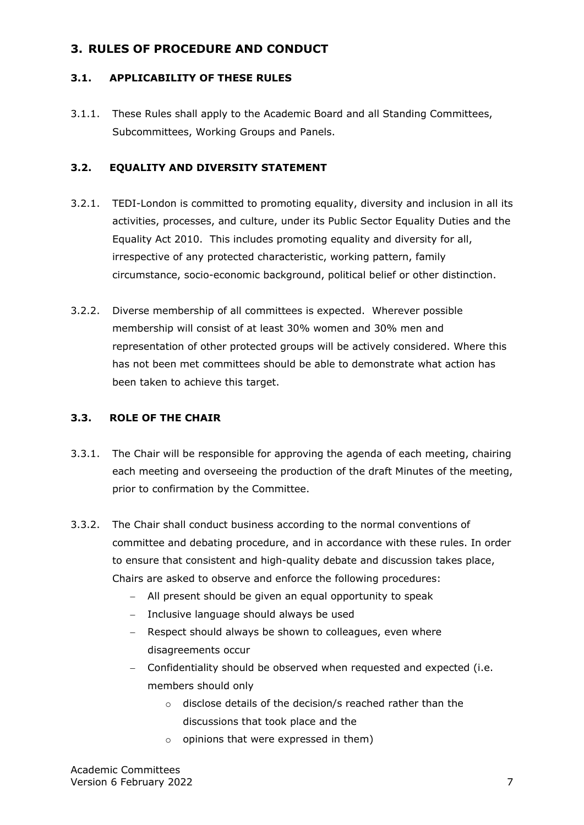# <span id="page-6-0"></span>**3. RULES OF PROCEDURE AND CONDUCT**

## **3.1. APPLICABILITY OF THESE RULES**

3.1.1. These Rules shall apply to the Academic Board and all Standing Committees, Subcommittees, Working Groups and Panels.

### **3.2. EQUALITY AND DIVERSITY STATEMENT**

- 3.2.1. TEDI-London is committed to promoting equality, diversity and inclusion in all its activities, processes, and culture, under its Public Sector Equality Duties and the Equality Act 2010. This includes promoting equality and diversity for all, irrespective of any protected characteristic, working pattern, family circumstance, socio-economic background, political belief or other distinction.
- 3.2.2. Diverse membership of all committees is expected. Wherever possible membership will consist of at least 30% women and 30% men and representation of other protected groups will be actively considered. Where this has not been met committees should be able to demonstrate what action has been taken to achieve this target.

#### **3.3. ROLE OF THE CHAIR**

- 3.3.1. The Chair will be responsible for approving the agenda of each meeting, chairing each meeting and overseeing the production of the draft Minutes of the meeting, prior to confirmation by the Committee.
- 3.3.2. The Chair shall conduct business according to the normal conventions of committee and debating procedure, and in accordance with these rules. In order to ensure that consistent and high-quality debate and discussion takes place, Chairs are asked to observe and enforce the following procedures:
	- − All present should be given an equal opportunity to speak
	- − Inclusive language should always be used
	- − Respect should always be shown to colleagues, even where disagreements occur
	- − Confidentiality should be observed when requested and expected (i.e. members should only
		- o disclose details of the decision/s reached rather than the discussions that took place and the
		- $\circ$  opinions that were expressed in them)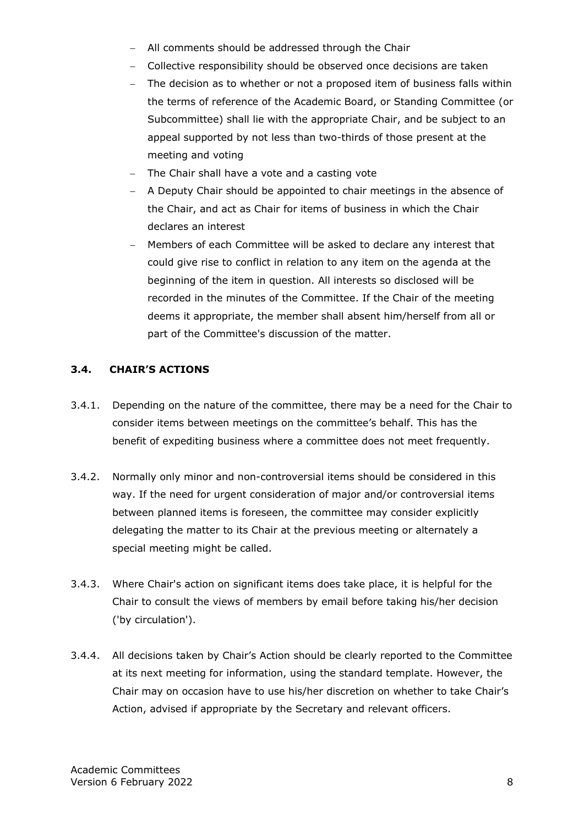- − All comments should be addressed through the Chair
- − Collective responsibility should be observed once decisions are taken
- − The decision as to whether or not a proposed item of business falls within the terms of reference of the Academic Board, or Standing Committee (or Subcommittee) shall lie with the appropriate Chair, and be subject to an appeal supported by not less than two-thirds of those present at the meeting and voting
- The Chair shall have a vote and a casting vote
- − A Deputy Chair should be appointed to chair meetings in the absence of the Chair, and act as Chair for items of business in which the Chair declares an interest
- − Members of each Committee will be asked to declare any interest that could give rise to conflict in relation to any item on the agenda at the beginning of the item in question. All interests so disclosed will be recorded in the minutes of the Committee. If the Chair of the meeting deems it appropriate, the member shall absent him/herself from all or part of the Committee's discussion of the matter.

### **3.4. CHAIR'S ACTIONS**

- 3.4.1. Depending on the nature of the committee, there may be a need for the Chair to consider items between meetings on the committee's behalf. This has the benefit of expediting business where a committee does not meet frequently.
- 3.4.2. Normally only minor and non-controversial items should be considered in this way. If the need for urgent consideration of major and/or controversial items between planned items is foreseen, the committee may consider explicitly delegating the matter to its Chair at the previous meeting or alternately a special meeting might be called.
- 3.4.3. Where Chair's action on significant items does take place, it is helpful for the Chair to consult the views of members by email before taking his/her decision ('by circulation').
- 3.4.4. All decisions taken by Chair's Action should be clearly reported to the Committee at its next meeting for information, using the standard template. However, the Chair may on occasion have to use his/her discretion on whether to take Chair's Action, advised if appropriate by the Secretary and relevant officers.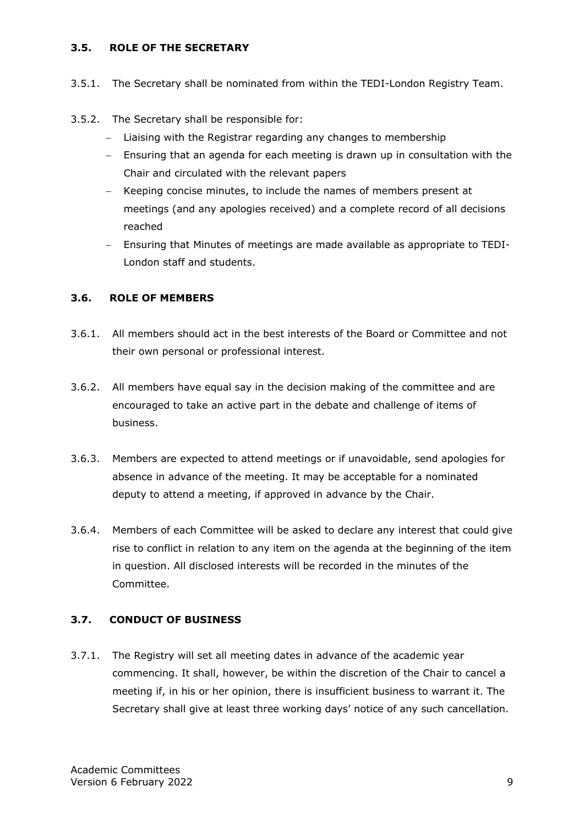#### **3.5. ROLE OF THE SECRETARY**

- 3.5.1. The Secretary shall be nominated from within the TEDI-London Registry Team.
- 3.5.2. The Secretary shall be responsible for:
	- − Liaising with the Registrar regarding any changes to membership
	- − Ensuring that an agenda for each meeting is drawn up in consultation with the Chair and circulated with the relevant papers
	- − Keeping concise minutes, to include the names of members present at meetings (and any apologies received) and a complete record of all decisions reached
	- − Ensuring that Minutes of meetings are made available as appropriate to TEDI-London staff and students.

#### **3.6. ROLE OF MEMBERS**

- 3.6.1. All members should act in the best interests of the Board or Committee and not their own personal or professional interest.
- 3.6.2. All members have equal say in the decision making of the committee and are encouraged to take an active part in the debate and challenge of items of business.
- 3.6.3. Members are expected to attend meetings or if unavoidable, send apologies for absence in advance of the meeting. It may be acceptable for a nominated deputy to attend a meeting, if approved in advance by the Chair.
- 3.6.4. Members of each Committee will be asked to declare any interest that could give rise to conflict in relation to any item on the agenda at the beginning of the item in question. All disclosed interests will be recorded in the minutes of the Committee.

#### **3.7. CONDUCT OF BUSINESS**

3.7.1. The Registry will set all meeting dates in advance of the academic year commencing. It shall, however, be within the discretion of the Chair to cancel a meeting if, in his or her opinion, there is insufficient business to warrant it. The Secretary shall give at least three working days' notice of any such cancellation.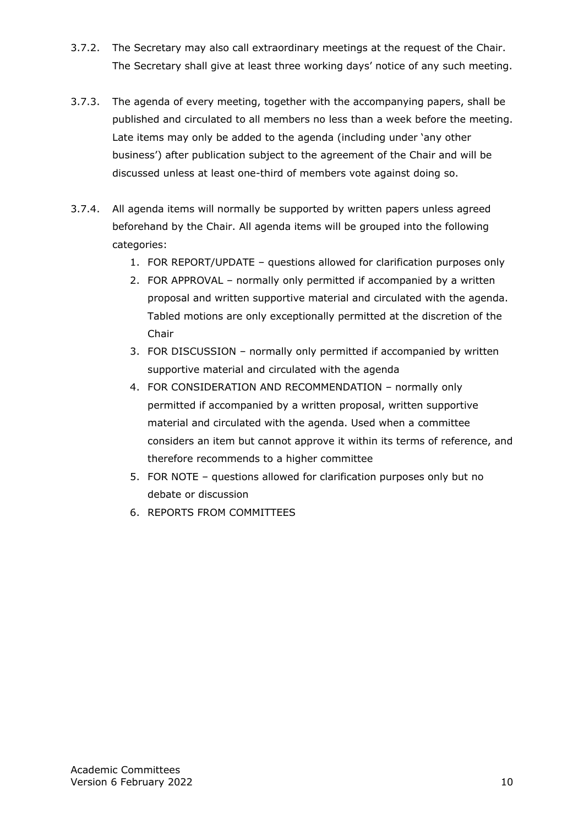- 3.7.2. The Secretary may also call extraordinary meetings at the request of the Chair. The Secretary shall give at least three working days' notice of any such meeting.
- 3.7.3. The agenda of every meeting, together with the accompanying papers, shall be published and circulated to all members no less than a week before the meeting. Late items may only be added to the agenda (including under 'any other business') after publication subject to the agreement of the Chair and will be discussed unless at least one-third of members vote against doing so.
- 3.7.4. All agenda items will normally be supported by written papers unless agreed beforehand by the Chair. All agenda items will be grouped into the following categories:
	- 1. FOR REPORT/UPDATE questions allowed for clarification purposes only
	- 2. FOR APPROVAL normally only permitted if accompanied by a written proposal and written supportive material and circulated with the agenda. Tabled motions are only exceptionally permitted at the discretion of the Chair
	- 3. FOR DISCUSSION normally only permitted if accompanied by written supportive material and circulated with the agenda
	- 4. FOR CONSIDERATION AND RECOMMENDATION normally only permitted if accompanied by a written proposal, written supportive material and circulated with the agenda. Used when a committee considers an item but cannot approve it within its terms of reference, and therefore recommends to a higher committee
	- 5. FOR NOTE questions allowed for clarification purposes only but no debate or discussion
	- 6. REPORTS FROM COMMITTEES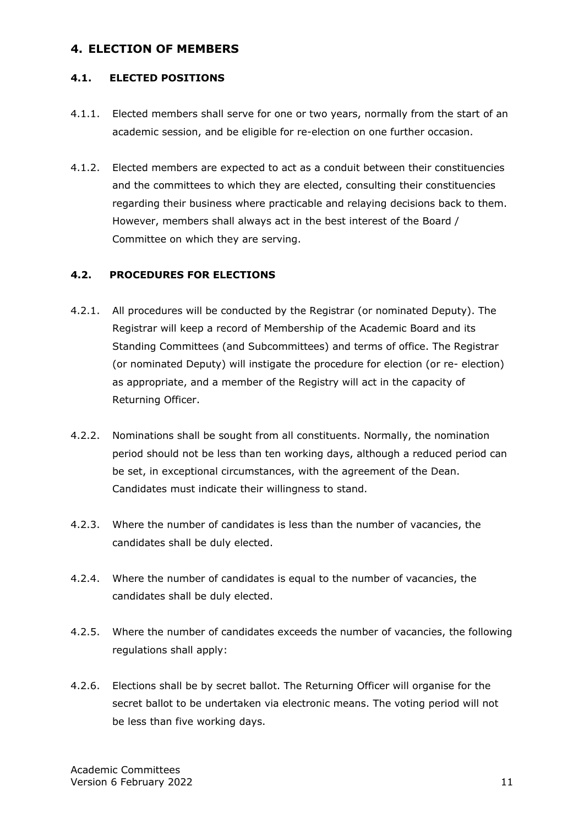# <span id="page-10-0"></span>**4. ELECTION OF MEMBERS**

### **4.1. ELECTED POSITIONS**

- 4.1.1. Elected members shall serve for one or two years, normally from the start of an academic session, and be eligible for re-election on one further occasion.
- 4.1.2. Elected members are expected to act as a conduit between their constituencies and the committees to which they are elected, consulting their constituencies regarding their business where practicable and relaying decisions back to them. However, members shall always act in the best interest of the Board / Committee on which they are serving.

### **4.2. PROCEDURES FOR ELECTIONS**

- 4.2.1. All procedures will be conducted by the Registrar (or nominated Deputy). The Registrar will keep a record of Membership of the Academic Board and its Standing Committees (and Subcommittees) and terms of office. The Registrar (or nominated Deputy) will instigate the procedure for election (or re- election) as appropriate, and a member of the Registry will act in the capacity of Returning Officer.
- 4.2.2. Nominations shall be sought from all constituents. Normally, the nomination period should not be less than ten working days, although a reduced period can be set, in exceptional circumstances, with the agreement of the Dean. Candidates must indicate their willingness to stand.
- 4.2.3. Where the number of candidates is less than the number of vacancies, the candidates shall be duly elected.
- 4.2.4. Where the number of candidates is equal to the number of vacancies, the candidates shall be duly elected.
- 4.2.5. Where the number of candidates exceeds the number of vacancies, the following regulations shall apply:
- 4.2.6. Elections shall be by secret ballot. The Returning Officer will organise for the secret ballot to be undertaken via electronic means. The voting period will not be less than five working days.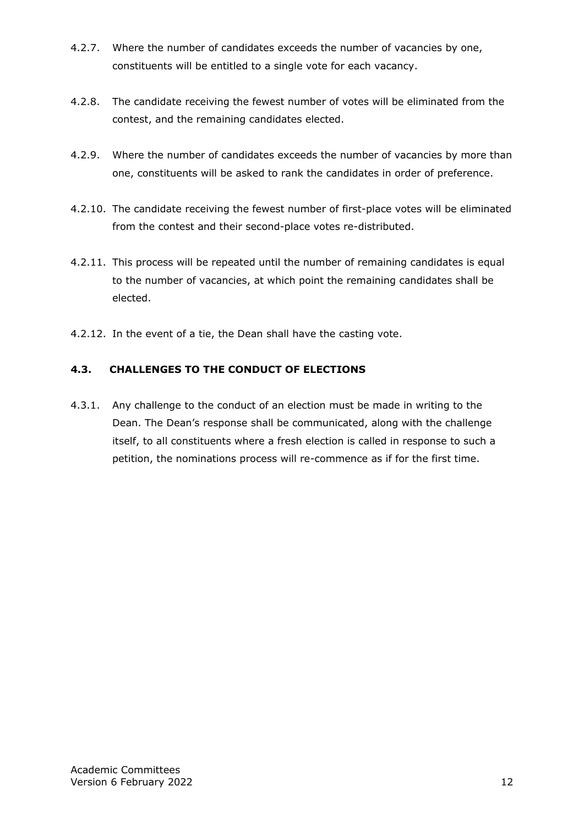- 4.2.7. Where the number of candidates exceeds the number of vacancies by one, constituents will be entitled to a single vote for each vacancy.
- 4.2.8. The candidate receiving the fewest number of votes will be eliminated from the contest, and the remaining candidates elected.
- 4.2.9. Where the number of candidates exceeds the number of vacancies by more than one, constituents will be asked to rank the candidates in order of preference.
- 4.2.10. The candidate receiving the fewest number of first-place votes will be eliminated from the contest and their second-place votes re-distributed.
- 4.2.11. This process will be repeated until the number of remaining candidates is equal to the number of vacancies, at which point the remaining candidates shall be elected.
- 4.2.12. In the event of a tie, the Dean shall have the casting vote.

## **4.3. CHALLENGES TO THE CONDUCT OF ELECTIONS**

4.3.1. Any challenge to the conduct of an election must be made in writing to the Dean. The Dean's response shall be communicated, along with the challenge itself, to all constituents where a fresh election is called in response to such a petition, the nominations process will re-commence as if for the first time.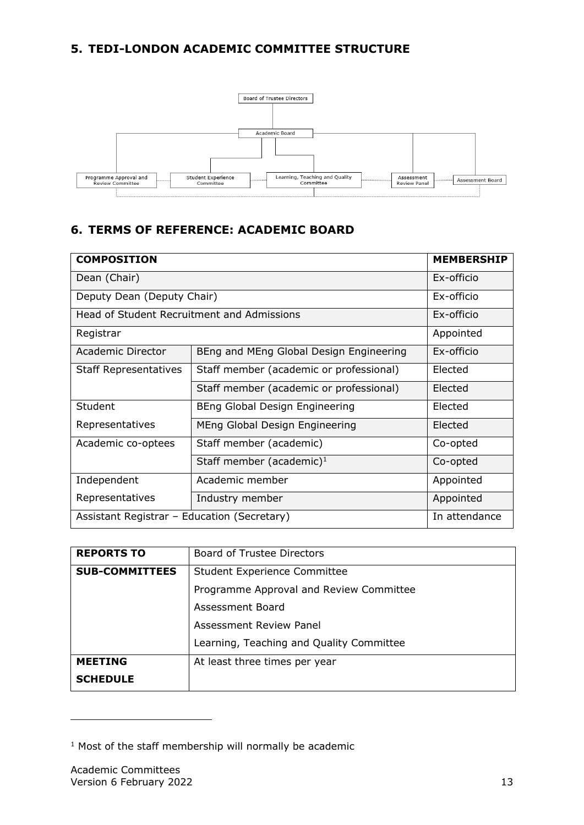# <span id="page-12-0"></span>**5. TEDI-LONDON ACADEMIC COMMITTEE STRUCTURE**



# <span id="page-12-1"></span>**6. TERMS OF REFERENCE: ACADEMIC BOARD**

| <b>COMPOSITION</b>                          |                                         | <b>MEMBERSHIP</b> |
|---------------------------------------------|-----------------------------------------|-------------------|
| Dean (Chair)                                |                                         | Ex-officio        |
| Deputy Dean (Deputy Chair)                  |                                         | Ex-officio        |
| Head of Student Recruitment and Admissions  |                                         | Ex-officio        |
| Registrar                                   |                                         | Appointed         |
| Academic Director                           | BEng and MEng Global Design Engineering | Ex-officio        |
| <b>Staff Representatives</b>                | Staff member (academic or professional) | Elected           |
|                                             | Staff member (academic or professional) | Elected           |
| Student                                     | BEng Global Design Engineering          | Elected           |
| Representatives                             | MEng Global Design Engineering          | Elected           |
| Academic co-optees                          | Staff member (academic)                 | Co-opted          |
|                                             | Staff member (academic) $1$             | Co-opted          |
| Independent                                 | Academic member                         | Appointed         |
| Representatives                             | Industry member                         | Appointed         |
| Assistant Registrar - Education (Secretary) |                                         | In attendance     |

| <b>REPORTS TO</b>     | <b>Board of Trustee Directors</b>        |
|-----------------------|------------------------------------------|
| <b>SUB-COMMITTEES</b> | <b>Student Experience Committee</b>      |
|                       | Programme Approval and Review Committee  |
|                       | Assessment Board                         |
|                       | Assessment Review Panel                  |
|                       | Learning, Teaching and Quality Committee |
| <b>MEETING</b>        | At least three times per year            |
| <b>SCHEDULE</b>       |                                          |

 $1$  Most of the staff membership will normally be academic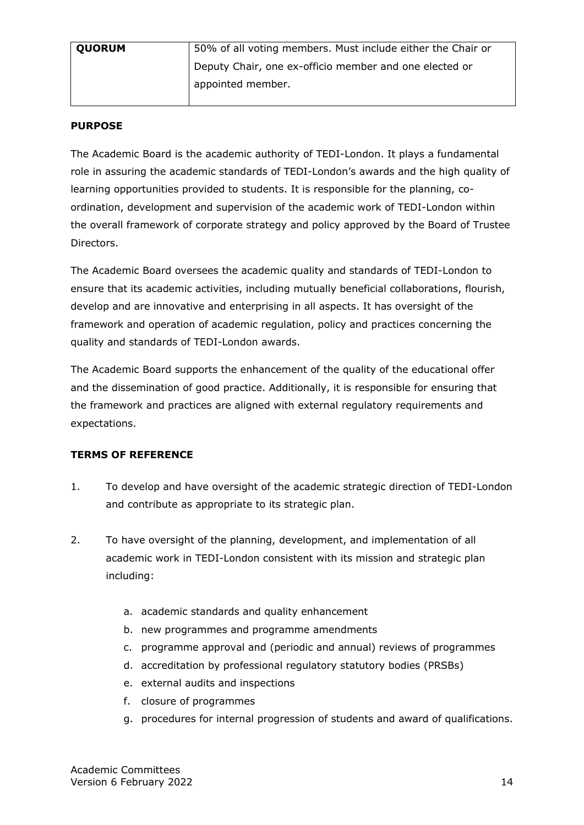| <b>QUORUM</b> | 50% of all voting members. Must include either the Chair or |
|---------------|-------------------------------------------------------------|
|               | Deputy Chair, one ex-officio member and one elected or      |
|               | appointed member.                                           |

#### **PURPOSE**

The Academic Board is the academic authority of TEDI-London. It plays a fundamental role in assuring the academic standards of TEDI-London's awards and the high quality of learning opportunities provided to students. It is responsible for the planning, coordination, development and supervision of the academic work of TEDI-London within the overall framework of corporate strategy and policy approved by the Board of Trustee Directors.

The Academic Board oversees the academic quality and standards of TEDI-London to ensure that its academic activities, including mutually beneficial collaborations, flourish, develop and are innovative and enterprising in all aspects. It has oversight of the framework and operation of academic regulation, policy and practices concerning the quality and standards of TEDI-London awards.

The Academic Board supports the enhancement of the quality of the educational offer and the dissemination of good practice. Additionally, it is responsible for ensuring that the framework and practices are aligned with external regulatory requirements and expectations.

## **TERMS OF REFERENCE**

- 1. To develop and have oversight of the academic strategic direction of TEDI-London and contribute as appropriate to its strategic plan.
- 2. To have oversight of the planning, development, and implementation of all academic work in TEDI-London consistent with its mission and strategic plan including:
	- a. academic standards and quality enhancement
	- b. new programmes and programme amendments
	- c. programme approval and (periodic and annual) reviews of programmes
	- d. accreditation by professional regulatory statutory bodies (PRSBs)
	- e. external audits and inspections
	- f. closure of programmes
	- g. procedures for internal progression of students and award of qualifications.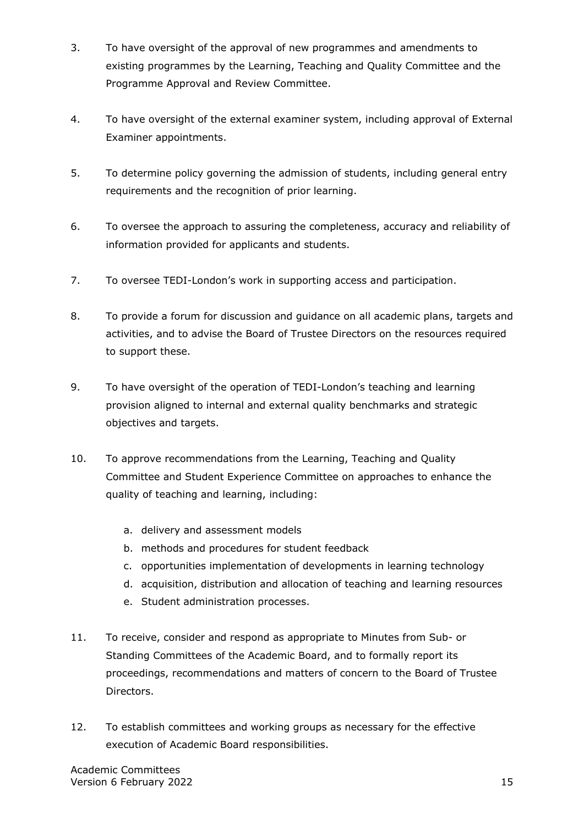- 3. To have oversight of the approval of new programmes and amendments to existing programmes by the Learning, Teaching and Quality Committee and the Programme Approval and Review Committee.
- 4. To have oversight of the external examiner system, including approval of External Examiner appointments.
- 5. To determine policy governing the admission of students, including general entry requirements and the recognition of prior learning.
- 6. To oversee the approach to assuring the completeness, accuracy and reliability of information provided for applicants and students.
- 7. To oversee TEDI-London's work in supporting access and participation.
- 8. To provide a forum for discussion and guidance on all academic plans, targets and activities, and to advise the Board of Trustee Directors on the resources required to support these.
- 9. To have oversight of the operation of TEDI-London's teaching and learning provision aligned to internal and external quality benchmarks and strategic objectives and targets.
- 10. To approve recommendations from the Learning, Teaching and Quality Committee and Student Experience Committee on approaches to enhance the quality of teaching and learning, including:
	- a. delivery and assessment models
	- b. methods and procedures for student feedback
	- c. opportunities implementation of developments in learning technology
	- d. acquisition, distribution and allocation of teaching and learning resources
	- e. Student administration processes.
- 11. To receive, consider and respond as appropriate to Minutes from Sub- or Standing Committees of the Academic Board, and to formally report its proceedings, recommendations and matters of concern to the Board of Trustee Directors.
- 12. To establish committees and working groups as necessary for the effective execution of Academic Board responsibilities.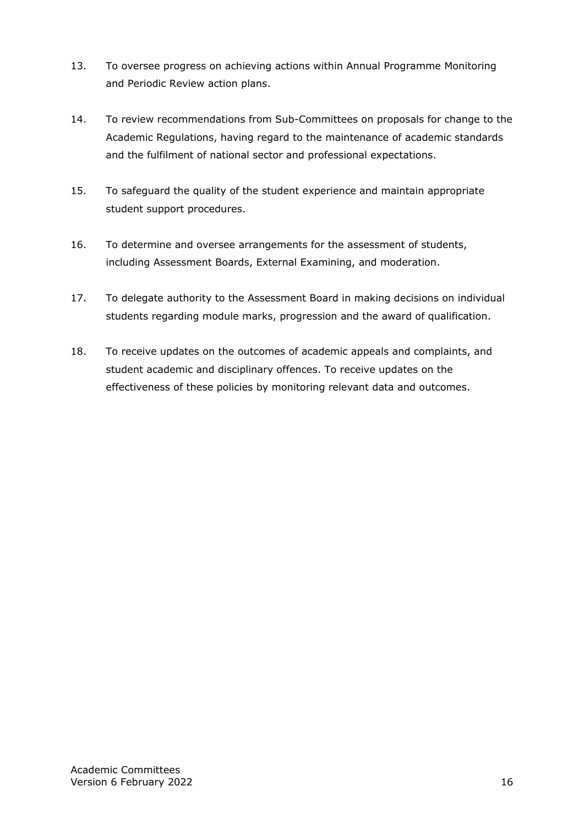- 13. To oversee progress on achieving actions within Annual Programme Monitoring and Periodic Review action plans.
- 14. To review recommendations from Sub-Committees on proposals for change to the Academic Regulations, having regard to the maintenance of academic standards and the fulfilment of national sector and professional expectations.
- 15. To safeguard the quality of the student experience and maintain appropriate student support procedures.
- 16. To determine and oversee arrangements for the assessment of students, including Assessment Boards, External Examining, and moderation.
- 17. To delegate authority to the Assessment Board in making decisions on individual students regarding module marks, progression and the award of qualification.
- 18. To receive updates on the outcomes of academic appeals and complaints, and student academic and disciplinary offences. To receive updates on the effectiveness of these policies by monitoring relevant data and outcomes.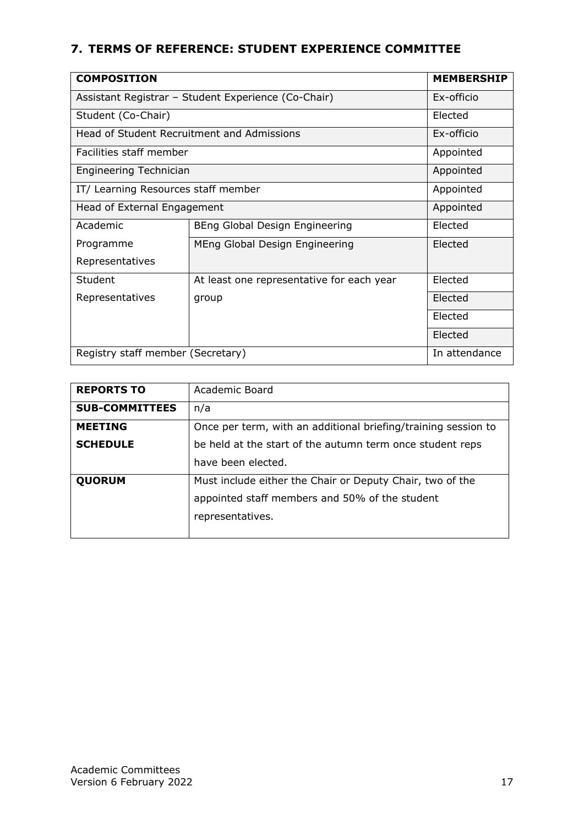# <span id="page-16-0"></span>**7. TERMS OF REFERENCE: STUDENT EXPERIENCE COMMITTEE**

| <b>COMPOSITION</b>                                  |                                            | <b>MEMBERSHIP</b> |
|-----------------------------------------------------|--------------------------------------------|-------------------|
| Assistant Registrar - Student Experience (Co-Chair) |                                            | Ex-officio        |
| Student (Co-Chair)                                  |                                            | Elected           |
|                                                     | Head of Student Recruitment and Admissions | Ex-officio        |
| Facilities staff member                             |                                            | Appointed         |
| <b>Engineering Technician</b>                       |                                            | Appointed         |
| IT/ Learning Resources staff member                 |                                            | Appointed         |
| Head of External Engagement                         |                                            | Appointed         |
| Academic                                            | BEng Global Design Engineering             | Elected           |
| Programme                                           | MEng Global Design Engineering             | Elected           |
| Representatives                                     |                                            |                   |
| Student                                             | At least one representative for each year  | Elected           |
| Representatives                                     | group                                      | Elected           |
|                                                     |                                            | Elected           |
|                                                     |                                            | Elected           |
| Registry staff member (Secretary)                   |                                            | In attendance     |

| <b>REPORTS TO</b>     | Academic Board                                                 |
|-----------------------|----------------------------------------------------------------|
| <b>SUB-COMMITTEES</b> | n/a                                                            |
| <b>MEETING</b>        | Once per term, with an additional briefing/training session to |
| <b>SCHEDULE</b>       | be held at the start of the autumn term once student reps      |
|                       | have been elected.                                             |
| <b>QUORUM</b>         | Must include either the Chair or Deputy Chair, two of the      |
|                       | appointed staff members and 50% of the student                 |
|                       | representatives.                                               |
|                       |                                                                |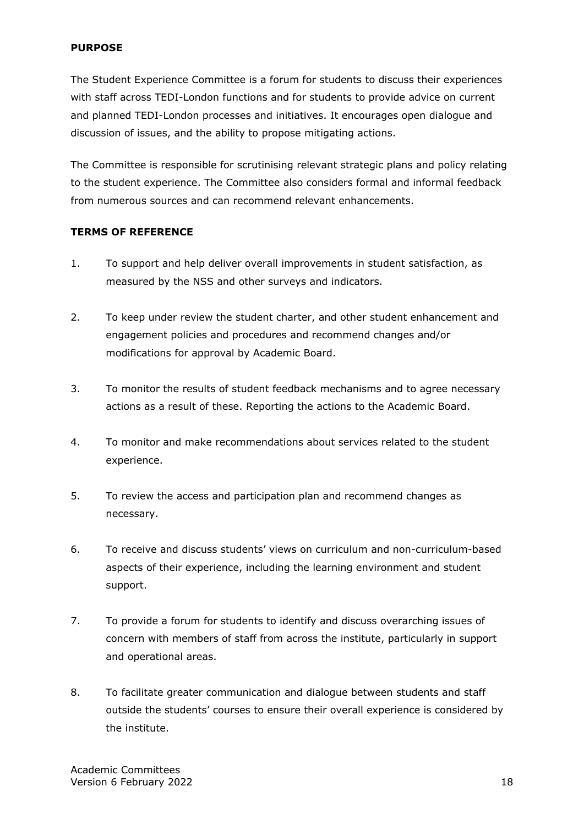#### **PURPOSE**

The Student Experience Committee is a forum for students to discuss their experiences with staff across TEDI-London functions and for students to provide advice on current and planned TEDI-London processes and initiatives. It encourages open dialogue and discussion of issues, and the ability to propose mitigating actions.

The Committee is responsible for scrutinising relevant strategic plans and policy relating to the student experience. The Committee also considers formal and informal feedback from numerous sources and can recommend relevant enhancements.

#### **TERMS OF REFERENCE**

- 1. To support and help deliver overall improvements in student satisfaction, as measured by the NSS and other surveys and indicators.
- 2. To keep under review the student charter, and other student enhancement and engagement policies and procedures and recommend changes and/or modifications for approval by Academic Board.
- 3. To monitor the results of student feedback mechanisms and to agree necessary actions as a result of these. Reporting the actions to the Academic Board.
- 4. To monitor and make recommendations about services related to the student experience.
- 5. To review the access and participation plan and recommend changes as necessary.
- 6. To receive and discuss students' views on curriculum and non-curriculum-based aspects of their experience, including the learning environment and student support.
- 7. To provide a forum for students to identify and discuss overarching issues of concern with members of staff from across the institute, particularly in support and operational areas.
- 8. To facilitate greater communication and dialogue between students and staff outside the students' courses to ensure their overall experience is considered by the institute.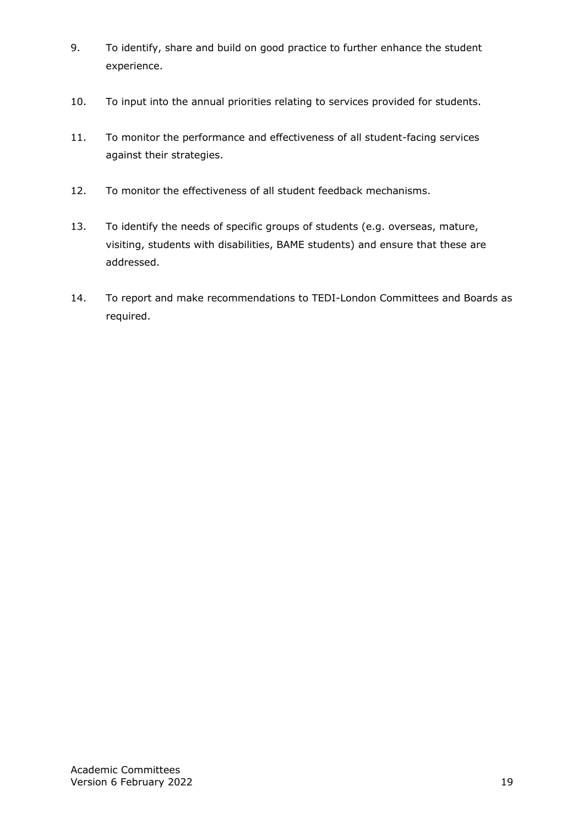- 9. To identify, share and build on good practice to further enhance the student experience.
- 10. To input into the annual priorities relating to services provided for students.
- 11. To monitor the performance and effectiveness of all student-facing services against their strategies.
- 12. To monitor the effectiveness of all student feedback mechanisms.
- 13. To identify the needs of specific groups of students (e.g. overseas, mature, visiting, students with disabilities, BAME students) and ensure that these are addressed.
- 14. To report and make recommendations to TEDI-London Committees and Boards as required.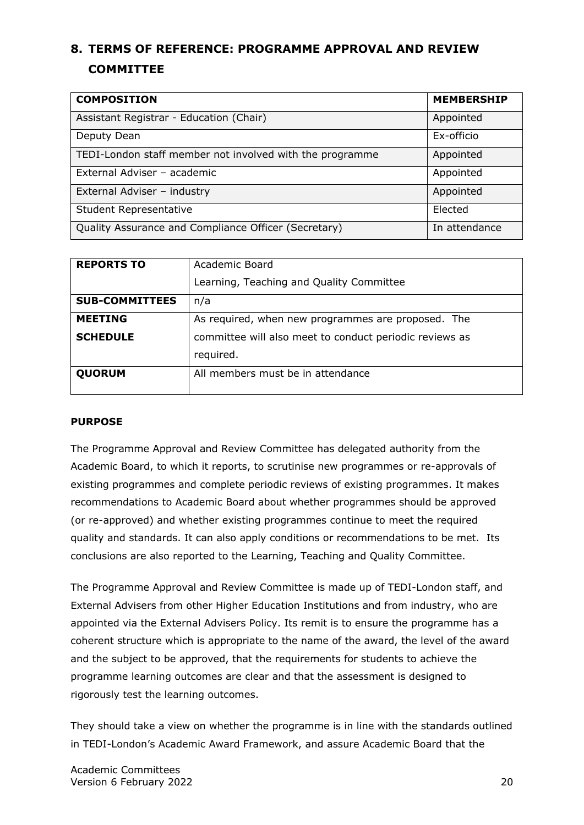# <span id="page-19-0"></span>**8. TERMS OF REFERENCE: PROGRAMME APPROVAL AND REVIEW COMMITTEE**

| <b>COMPOSITION</b>                                       | <b>MEMBERSHIP</b> |
|----------------------------------------------------------|-------------------|
| Assistant Registrar - Education (Chair)                  | Appointed         |
| Deputy Dean                                              | Ex-officio        |
| TEDI-London staff member not involved with the programme | Appointed         |
| External Adviser - academic                              | Appointed         |
| External Adviser - industry                              | Appointed         |
| <b>Student Representative</b>                            | Elected           |
| Quality Assurance and Compliance Officer (Secretary)     | In attendance     |

| <b>REPORTS TO</b>     | Academic Board                                          |
|-----------------------|---------------------------------------------------------|
|                       | Learning, Teaching and Quality Committee                |
| <b>SUB-COMMITTEES</b> | n/a                                                     |
| <b>MEETING</b>        | As required, when new programmes are proposed. The      |
| <b>SCHEDULE</b>       | committee will also meet to conduct periodic reviews as |
|                       | required.                                               |
| <b>QUORUM</b>         | All members must be in attendance                       |
|                       |                                                         |

#### **PURPOSE**

The Programme Approval and Review Committee has delegated authority from the Academic Board, to which it reports, to scrutinise new programmes or re-approvals of existing programmes and complete periodic reviews of existing programmes. It makes recommendations to Academic Board about whether programmes should be approved (or re-approved) and whether existing programmes continue to meet the required quality and standards. It can also apply conditions or recommendations to be met. Its conclusions are also reported to the Learning, Teaching and Quality Committee.

The Programme Approval and Review Committee is made up of TEDI-London staff, and External Advisers from other Higher Education Institutions and from industry, who are appointed via the External Advisers Policy. Its remit is to ensure the programme has a coherent structure which is appropriate to the name of the award, the level of the award and the subject to be approved, that the requirements for students to achieve the programme learning outcomes are clear and that the assessment is designed to rigorously test the learning outcomes.

They should take a view on whether the programme is in line with the standards outlined in TEDI-London's Academic Award Framework, and assure Academic Board that the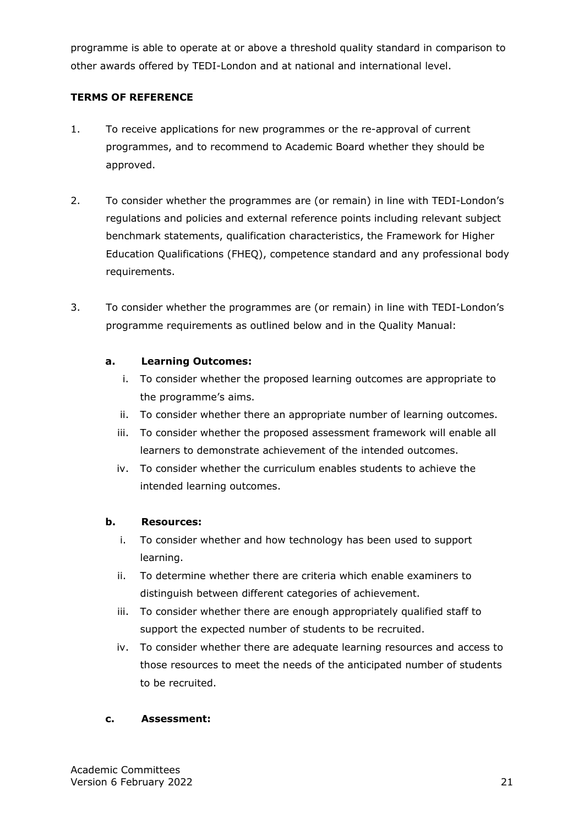programme is able to operate at or above a threshold quality standard in comparison to other awards offered by TEDI-London and at national and international level.

## **TERMS OF REFERENCE**

- 1. To receive applications for new programmes or the re-approval of current programmes, and to recommend to Academic Board whether they should be approved.
- 2. To consider whether the programmes are (or remain) in line with TEDI-London's regulations and policies and external reference points including relevant subject benchmark statements, qualification characteristics, the Framework for Higher Education Qualifications (FHEQ), competence standard and any professional body requirements.
- 3. To consider whether the programmes are (or remain) in line with TEDI-London's programme requirements as outlined below and in the Quality Manual:

### **a. Learning Outcomes:**

- i. To consider whether the proposed learning outcomes are appropriate to the programme's aims.
- ii. To consider whether there an appropriate number of learning outcomes.
- iii. To consider whether the proposed assessment framework will enable all learners to demonstrate achievement of the intended outcomes.
- iv. To consider whether the curriculum enables students to achieve the intended learning outcomes.

## **b. Resources:**

- i. To consider whether and how technology has been used to support learning.
- ii. To determine whether there are criteria which enable examiners to distinguish between different categories of achievement.
- iii. To consider whether there are enough appropriately qualified staff to support the expected number of students to be recruited.
- iv. To consider whether there are adequate learning resources and access to those resources to meet the needs of the anticipated number of students to be recruited.

#### **c. Assessment:**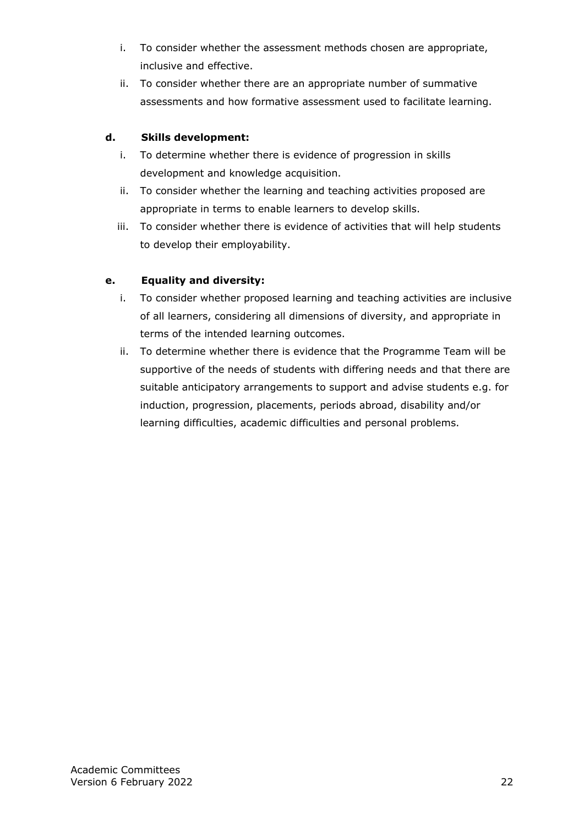- i. To consider whether the assessment methods chosen are appropriate, inclusive and effective.
- ii. To consider whether there are an appropriate number of summative assessments and how formative assessment used to facilitate learning.

## **d. Skills development:**

- i. To determine whether there is evidence of progression in skills development and knowledge acquisition.
- ii. To consider whether the learning and teaching activities proposed are appropriate in terms to enable learners to develop skills.
- iii. To consider whether there is evidence of activities that will help students to develop their employability.

# **e. Equality and diversity:**

- i. To consider whether proposed learning and teaching activities are inclusive of all learners, considering all dimensions of diversity, and appropriate in terms of the intended learning outcomes.
- ii. To determine whether there is evidence that the Programme Team will be supportive of the needs of students with differing needs and that there are suitable anticipatory arrangements to support and advise students e.g. for induction, progression, placements, periods abroad, disability and/or learning difficulties, academic difficulties and personal problems.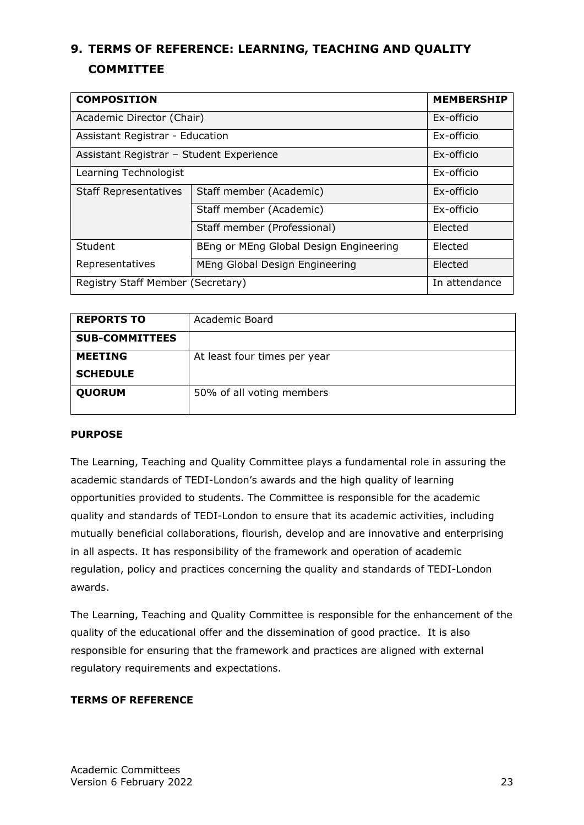# <span id="page-22-0"></span>**9. TERMS OF REFERENCE: LEARNING, TEACHING AND QUALITY COMMITTEE**

| <b>COMPOSITION</b>                       | <b>MEMBERSHIP</b>                      |               |
|------------------------------------------|----------------------------------------|---------------|
| Academic Director (Chair)                |                                        | Ex-officio    |
| Assistant Registrar - Education          |                                        | Ex-officio    |
| Assistant Registrar - Student Experience |                                        | Ex-officio    |
| Learning Technologist                    |                                        | Ex-officio    |
| <b>Staff Representatives</b>             | Staff member (Academic)                | Ex-officio    |
|                                          | Staff member (Academic)                | Ex-officio    |
|                                          | Staff member (Professional)            | Elected       |
| Student                                  | BEng or MEng Global Design Engineering | Elected       |
| Representatives                          | MEng Global Design Engineering         | Elected       |
| Registry Staff Member (Secretary)        |                                        | In attendance |

| <b>REPORTS TO</b>     | Academic Board               |
|-----------------------|------------------------------|
| <b>SUB-COMMITTEES</b> |                              |
| <b>MEETING</b>        | At least four times per year |
| <b>SCHEDULE</b>       |                              |
| <b>QUORUM</b>         | 50% of all voting members    |

#### **PURPOSE**

The Learning, Teaching and Quality Committee plays a fundamental role in assuring the academic standards of TEDI-London's awards and the high quality of learning opportunities provided to students. The Committee is responsible for the academic quality and standards of TEDI-London to ensure that its academic activities, including mutually beneficial collaborations, flourish, develop and are innovative and enterprising in all aspects. It has responsibility of the framework and operation of academic regulation, policy and practices concerning the quality and standards of TEDI-London awards.

The Learning, Teaching and Quality Committee is responsible for the enhancement of the quality of the educational offer and the dissemination of good practice. It is also responsible for ensuring that the framework and practices are aligned with external regulatory requirements and expectations.

## **TERMS OF REFERENCE**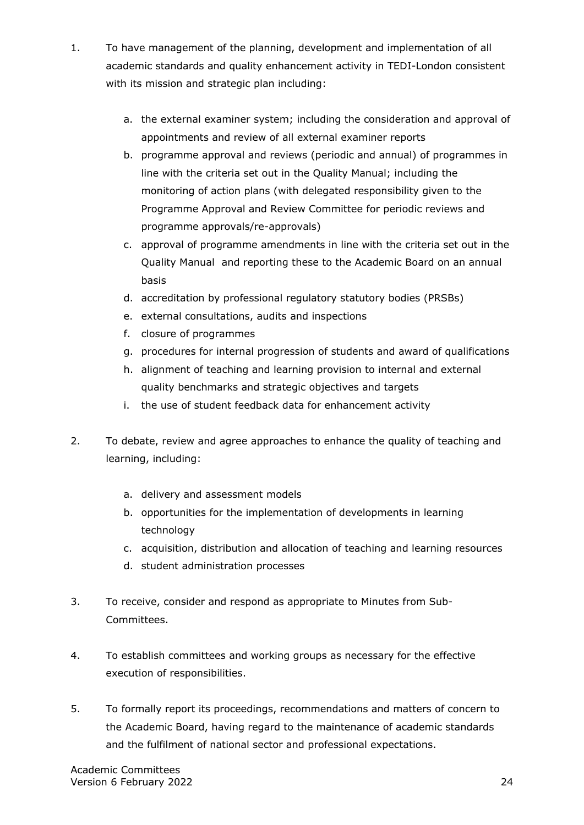- 1. To have management of the planning, development and implementation of all academic standards and quality enhancement activity in TEDI-London consistent with its mission and strategic plan including:
	- a. the external examiner system; including the consideration and approval of appointments and review of all external examiner reports
	- b. programme approval and reviews (periodic and annual) of programmes in line with the criteria set out in the Quality Manual; including the monitoring of action plans (with delegated responsibility given to the Programme Approval and Review Committee for periodic reviews and programme approvals/re-approvals)
	- c. approval of programme amendments in line with the criteria set out in the Quality Manual and reporting these to the Academic Board on an annual basis
	- d. accreditation by professional regulatory statutory bodies (PRSBs)
	- e. external consultations, audits and inspections
	- f. closure of programmes
	- g. procedures for internal progression of students and award of qualifications
	- h. alignment of teaching and learning provision to internal and external quality benchmarks and strategic objectives and targets
	- i. the use of student feedback data for enhancement activity
- 2. To debate, review and agree approaches to enhance the quality of teaching and learning, including:
	- a. delivery and assessment models
	- b. opportunities for the implementation of developments in learning technology
	- c. acquisition, distribution and allocation of teaching and learning resources
	- d. student administration processes
- 3. To receive, consider and respond as appropriate to Minutes from Sub-Committees.
- 4. To establish committees and working groups as necessary for the effective execution of responsibilities.
- 5. To formally report its proceedings, recommendations and matters of concern to the Academic Board, having regard to the maintenance of academic standards and the fulfilment of national sector and professional expectations.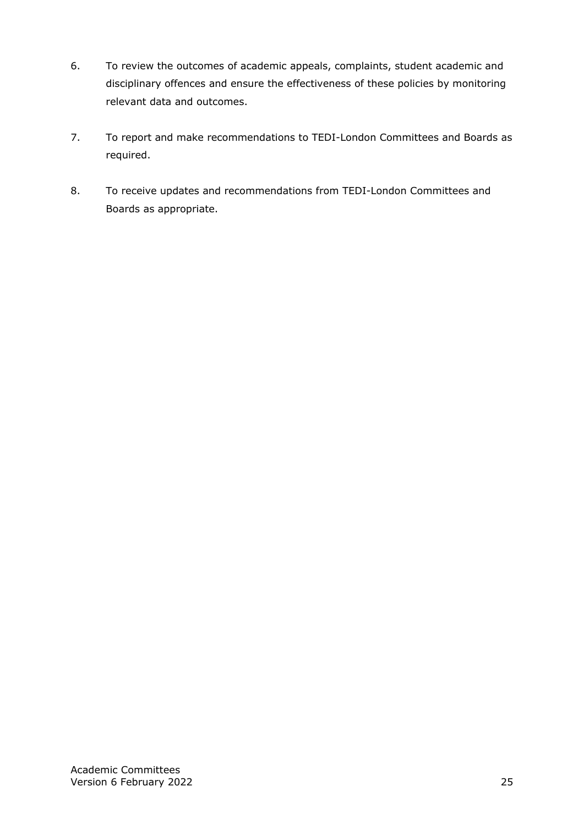- 6. To review the outcomes of academic appeals, complaints, student academic and disciplinary offences and ensure the effectiveness of these policies by monitoring relevant data and outcomes.
- 7. To report and make recommendations to TEDI-London Committees and Boards as required.
- 8. To receive updates and recommendations from TEDI-London Committees and Boards as appropriate.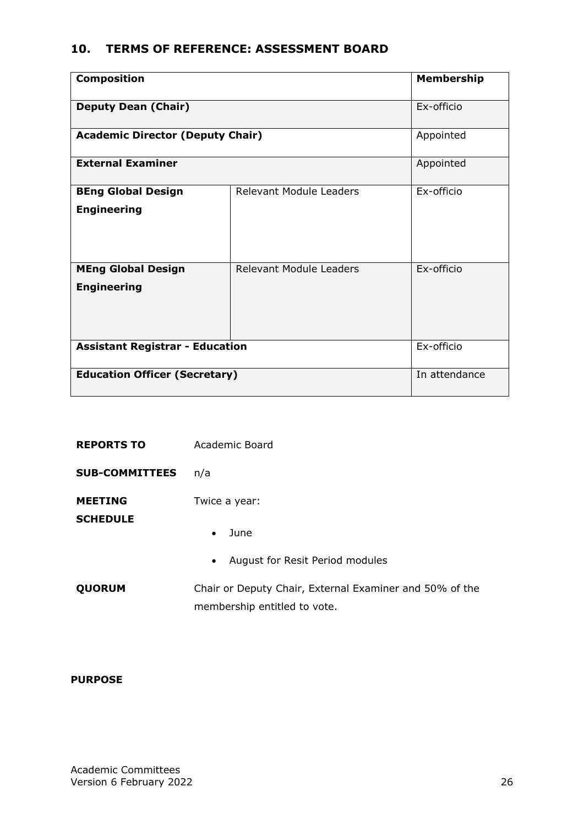# <span id="page-25-0"></span>**10. TERMS OF REFERENCE: ASSESSMENT BOARD**

| <b>Composition</b>                              |                                | <b>Membership</b> |
|-------------------------------------------------|--------------------------------|-------------------|
| <b>Deputy Dean (Chair)</b>                      |                                | Ex-officio        |
| <b>Academic Director (Deputy Chair)</b>         |                                | Appointed         |
| <b>External Examiner</b>                        |                                | Appointed         |
| <b>BEng Global Design</b><br><b>Engineering</b> | <b>Relevant Module Leaders</b> | Ex-officio        |
| <b>MEng Global Design</b><br><b>Engineering</b> | Relevant Module Leaders        | Ex-officio        |
| <b>Assistant Registrar - Education</b>          |                                | Ex-officio        |
| <b>Education Officer (Secretary)</b>            |                                | In attendance     |

| <b>REPORTS TO</b>                 | Academic Board                                                                          |
|-----------------------------------|-----------------------------------------------------------------------------------------|
| <b>SUB-COMMITTEES</b>             | n/a                                                                                     |
| <b>MEETING</b><br><b>SCHEDULE</b> | Twice a year:<br>June<br>$\bullet$                                                      |
|                                   | August for Resit Period modules<br>$\bullet$                                            |
| <b>QUORUM</b>                     | Chair or Deputy Chair, External Examiner and 50% of the<br>membership entitled to vote. |

#### **PURPOSE**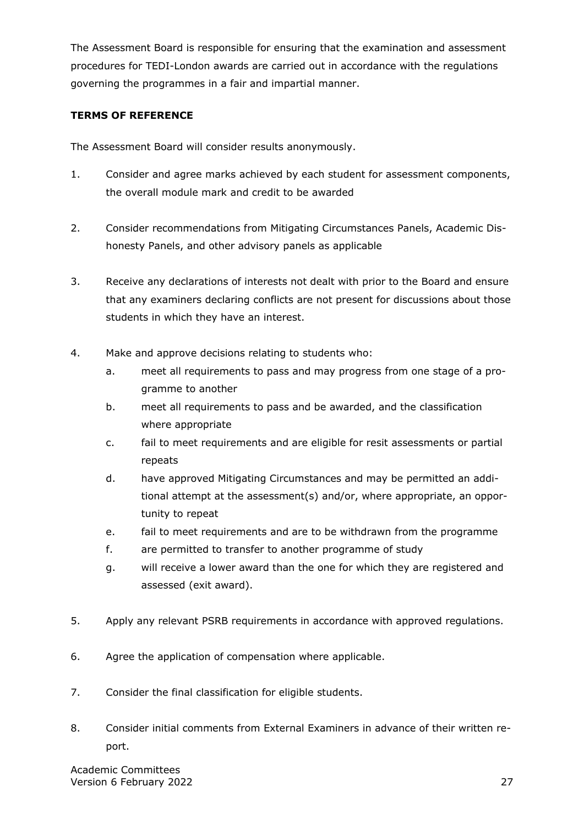The Assessment Board is responsible for ensuring that the examination and assessment procedures for TEDI-London awards are carried out in accordance with the regulations governing the programmes in a fair and impartial manner.

#### **TERMS OF REFERENCE**

The Assessment Board will consider results anonymously.

- 1. Consider and agree marks achieved by each student for assessment components, the overall module mark and credit to be awarded
- 2. Consider recommendations from Mitigating Circumstances Panels, Academic Dishonesty Panels, and other advisory panels as applicable
- 3. Receive any declarations of interests not dealt with prior to the Board and ensure that any examiners declaring conflicts are not present for discussions about those students in which they have an interest.
- 4. Make and approve decisions relating to students who:
	- a. meet all requirements to pass and may progress from one stage of a programme to another
	- b. meet all requirements to pass and be awarded, and the classification where appropriate
	- c. fail to meet requirements and are eligible for resit assessments or partial repeats
	- d. have approved Mitigating Circumstances and may be permitted an additional attempt at the assessment(s) and/or, where appropriate, an opportunity to repeat
	- e. fail to meet requirements and are to be withdrawn from the programme
	- f. are permitted to transfer to another programme of study
	- g. will receive a lower award than the one for which they are registered and assessed (exit award).
- 5. Apply any relevant PSRB requirements in accordance with approved regulations.
- 6. Agree the application of compensation where applicable.
- 7. Consider the final classification for eligible students.
- 8. Consider initial comments from External Examiners in advance of their written report.

Academic Committees Version 6 February 2022 27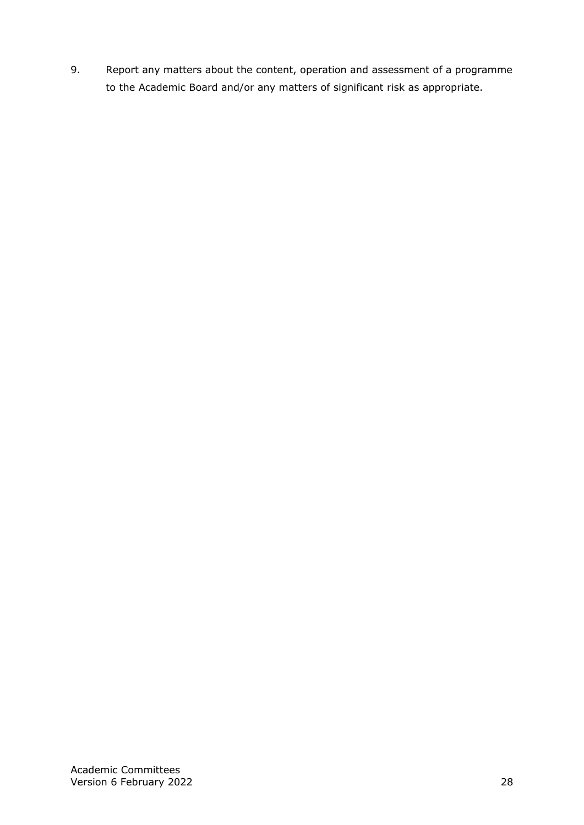9. Report any matters about the content, operation and assessment of a programme to the Academic Board and/or any matters of significant risk as appropriate.